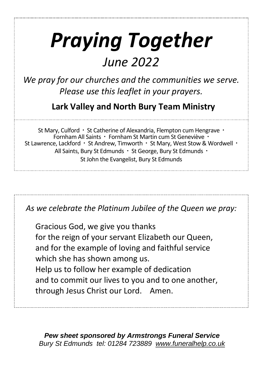# *Praying Together*

## *June 2022*

*We pray for our churches and the communities we serve. Please use this leaflet in your prayers.*

**Lark Valley and North Bury Team Ministry**

St Mary, Culford · St Catherine of Alexandria, Flempton cum Hengrave · Fornham All Saints · Fornham St Martin cum St Geneviève · St Lawrence, Lackford · St Andrew, Timworth · St Mary, West Stow & Wordwell · All Saints, Bury St Edmunds · St George, Bury St Edmunds · St John the Evangelist, Bury St Edmunds

*As we celebrate the Platinum Jubilee of the Queen we pray:*

Gracious God, we give you thanks for the reign of your servant Elizabeth our Queen, and for the example of loving and faithful service which she has shown among us. Help us to follow her example of dedication and to commit our lives to you and to one another, through Jesus Christ our Lord. Amen.

*Pew sheet sponsored by Armstrongs Funeral Service Bury St Edmunds tel: 01284 723889 [www.funeralhelp.co.uk](http://www.funeralhelp.co.uk/)*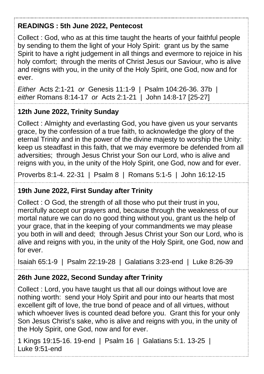#### **READINGS : 5th June 2022, Pentecost**

Collect : God, who as at this time taught the hearts of your faithful people by sending to them the light of your Holy Spirit: grant us by the same Spirit to have a right judgement in all things and evermore to rejoice in his holy comfort; through the merits of Christ Jesus our Saviour, who is alive and reigns with you, in the unity of the Holy Spirit, one God, now and for ever.

*Either* Acts 2:1-21 *or* Genesis 11:1-9 | Psalm 104:26-36. 37b | *either* Romans 8:14-17 *or* Acts 2:1-21 | John 14:8-17 [25-27]

#### **12th June 2022, Trinity Sunday**

Collect : Almighty and everlasting God, you have given us your servants grace, by the confession of a true faith, to acknowledge the glory of the eternal Trinity and in the power of the divine majesty to worship the Unity: keep us steadfast in this faith, that we may evermore be defended from all adversities; through Jesus Christ your Son our Lord, who is alive and reigns with you, in the unity of the Holy Spirit, one God, now and for ever.

Proverbs 8:1-4. 22-31 | Psalm 8 | Romans 5:1-5 | John 16:12-15

#### **19th June 2022, First Sunday after Trinity**

Collect : O God, the strength of all those who put their trust in you, mercifully accept our prayers and, because through the weakness of our mortal nature we can do no good thing without you, grant us the help of your grace, that in the keeping of your commandments we may please you both in will and deed; through Jesus Christ your Son our Lord, who is alive and reigns with you, in the unity of the Holy Spirit, one God, now and for ever.

Isaiah 65:1-9 | Psalm 22:19-28 | Galatians 3:23-end | Luke 8:26-39

#### **26th June 2022, Second Sunday after Trinity**

Collect : Lord, you have taught us that all our doings without love are nothing worth: send your Holy Spirit and pour into our hearts that most excellent gift of love, the true bond of peace and of all virtues, without which whoever lives is counted dead before you. Grant this for your only Son Jesus Christ's sake, who is alive and reigns with you, in the unity of the Holy Spirit, one God, now and for ever.

1 Kings 19:15-16. 19-end | Psalm 16 | Galatians 5:1. 13-25 | Luke 9:51-end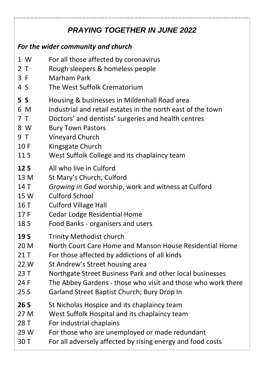### *PRAYING TOGETHER IN JUNE 2022*

#### *For the wider community and church*

- 1 W For all those affected by coronavirus
- 2 T Rough sleepers & homeless people
- 3 F Marham Park
- 4 SThe West Suffolk Crematorium
- **5 S** Housing & businesses in Mildenhall Road area
- 6 M Industrial and retail estates in the north east of the town
- 7 T Doctors' and dentists' surgeries and health centres
- 8 W Bury Town Pastors
- 9 T Vineyard Church
- 10 F Kingsgate Church
- 11 S West Suffolk College and its chaplaincy team
- **12 S** All who live in Culford
- 13 M St Mary's Church, Culford
- 14 T *Growing in God* worship, work and witness at Culford
- 15 W Culford School
- 16 T Culford Village Hall
- 17 F Cedar Lodge Residential Home
- 18 S Food Banks organisers and users
- **19 S** Trinity Methodist church
- 20 M North Court Care Home and Manson House Residential Home
- 21 T For those affected by addictions of all kinds
- 22 W St Andrew's Street housing area
- 23 T Northgate Street Business Park and other local businesses
- 24 F The Abbey Gardens those who visit and those who work there
- 25 S Garland Street Baptist Church; Bury Drop In
- **26 S** St Nicholas Hospice and its chaplaincy team
- 27 M West Suffolk Hospital and its chaplaincy team
- 28 T For industrial chaplains
- 29 W For those who are unemployed or made redundant
- 30 T For all adversely affected by rising energy and food costs